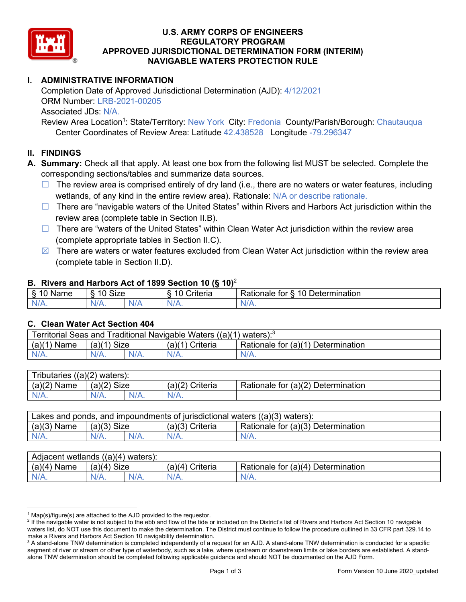

## **U.S. ARMY CORPS OF ENGINEERS REGULATORY PROGRAM APPROVED JURISDICTIONAL DETERMINATION FORM (INTERIM) NAVIGABLE WATERS PROTECTION RULE**

# **I. ADMINISTRATIVE INFORMATION**

Completion Date of Approved Jurisdictional Determination (AJD): 4/12/2021 ORM Number: LRB-2021-00205 Associated JDs: N/A.

Review Area Location<sup>1</sup>: State/Territory: New York City: Fredonia County/Parish/Borough: Chautauqua Center Coordinates of Review Area: Latitude 42.438528 Longitude -79.296347

## **II. FINDINGS**

**A. Summary:** Check all that apply. At least one box from the following list MUST be selected. Complete the corresponding sections/tables and summarize data sources.

- $\Box$  The review area is comprised entirely of dry land (i.e., there are no waters or water features, including wetlands, of any kind in the entire review area). Rationale: N/A or describe rationale.
- $\Box$  There are "navigable waters of the United States" within Rivers and Harbors Act jurisdiction within the review area (complete table in Section II.B).
- ☐ There are "waters of the United States" within Clean Water Act jurisdiction within the review area (complete appropriate tables in Section II.C).
- $\boxtimes$  There are waters or water features excluded from Clean Water Act jurisdiction within the review area (complete table in Section II.D).

### **B. Rivers and Harbors Act of 1899 Section 10 (§ 10)**<sup>2</sup>

| $\cdot$        |                                            |               |                                          |                                               |  |  |  |
|----------------|--------------------------------------------|---------------|------------------------------------------|-----------------------------------------------|--|--|--|
| $\sim$<br>Name | <b>Size</b><br>$\overline{A}$<br>C)<br>ιv. |               | 10<br>. .<br>$"$ ritorio<br>ונסו וכ<br>u | Determination<br>$\Delta$<br>'ationale<br>tor |  |  |  |
| N/L<br>. .     | NIZ<br>97 / TV .                           | 'NH a<br>vi r |                                          | N/A.                                          |  |  |  |

### **C. Clean Water Act Section 404**

| <b>Territorial Seas and</b><br>Traditional Navigable Waters ((a)(1)<br>waters): <sup>3</sup> |                |  |                    |                                         |  |  |
|----------------------------------------------------------------------------------------------|----------------|--|--------------------|-----------------------------------------|--|--|
| (a)(1)<br>Name                                                                               | Size<br>(a)(1) |  | (a)(1)<br>Criteria | Rationale for (a)(1) D<br>Determination |  |  |
|                                                                                              | $N/A$ .        |  | $N/A$ .            | $N/A$ .                                 |  |  |

| Tributaries $((a)(2)$ waters): |                |         |                 |                                    |  |  |
|--------------------------------|----------------|---------|-----------------|------------------------------------|--|--|
| (a)(2)<br>Name                 | Size<br>(a)(2) |         | (a)(2) Criteria | Rationale for (a)(2) Determination |  |  |
| $N/A$ .                        | $N/A$ .        | $N/A$ . | $N/A$ .         |                                    |  |  |

| Lakes and ponds, and impoundments of jurisdictional waters $((a)(3)$ waters): |               |         |                 |                                    |  |  |
|-------------------------------------------------------------------------------|---------------|---------|-----------------|------------------------------------|--|--|
| $(a)(3)$ Name                                                                 | $(a)(3)$ Size |         | (a)(3) Criteria | Rationale for (a)(3) Determination |  |  |
| $N/A$ .                                                                       |               | $N/A$ . | $N/A$ .         | $N/A$ .                            |  |  |

| ((a)(4)<br>Adiacent wetlands<br>waters). |                       |      |                   |                                                            |  |  |
|------------------------------------------|-----------------------|------|-------------------|------------------------------------------------------------|--|--|
| (a)(4)<br>Name                           | <b>Size</b><br>(a)(4) |      | Criteria<br>′а)(4 | .∪r (a)(4 <sup>)</sup> Γ<br>Rationale for<br>Determination |  |  |
| N/A.                                     | $N/A$ .               | N/A. | $N/A$ .           | $N/L$ .                                                    |  |  |

 $1$  Map(s)/figure(s) are attached to the AJD provided to the requestor.

<sup>&</sup>lt;sup>2</sup> If the navigable water is not subject to the ebb and flow of the tide or included on the District's list of Rivers and Harbors Act Section 10 navigable waters list, do NOT use this document to make the determination. The District must continue to follow the procedure outlined in 33 CFR part 329.14 to make a Rivers and Harbors Act Section 10 navigability determination.

<sup>&</sup>lt;sup>3</sup> A stand-alone TNW determination is completed independently of a request for an AJD. A stand-alone TNW determination is conducted for a specific segment of river or stream or other type of waterbody, such as a lake, where upstream or downstream limits or lake borders are established. A standalone TNW determination should be completed following applicable guidance and should NOT be documented on the AJD Form.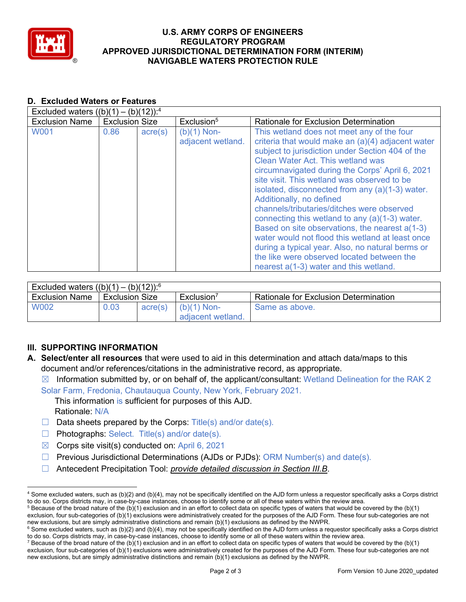

## **U.S. ARMY CORPS OF ENGINEERS REGULATORY PROGRAM APPROVED JURISDICTIONAL DETERMINATION FORM (INTERIM) NAVIGABLE WATERS PROTECTION RULE**

#### **D. Excluded Waters or Features**  $E_{\text{reduced}}$  (b)  $\frac{1}{2}$  – (b)(4) – (b)(40)):4

| EXCluded waters $((D)(T) - (D)(TZ))$ : |                       |                  |                                    |                                                                                                                                                                                                                                                                                                                                                                                                                                                                                                                                                                                                                                                                                                                                      |  |  |
|----------------------------------------|-----------------------|------------------|------------------------------------|--------------------------------------------------------------------------------------------------------------------------------------------------------------------------------------------------------------------------------------------------------------------------------------------------------------------------------------------------------------------------------------------------------------------------------------------------------------------------------------------------------------------------------------------------------------------------------------------------------------------------------------------------------------------------------------------------------------------------------------|--|--|
| <b>Exclusion Name</b>                  | <b>Exclusion Size</b> |                  | Exclusion <sup>5</sup>             | Rationale for Exclusion Determination                                                                                                                                                                                                                                                                                                                                                                                                                                                                                                                                                                                                                                                                                                |  |  |
| <b>W001</b>                            | 0.86                  | $\text{acre}(s)$ | $(b)(1)$ Non-<br>adjacent wetland. | This wetland does not meet any of the four<br>criteria that would make an (a)(4) adjacent water<br>subject to jurisdiction under Section 404 of the<br><b>Clean Water Act. This wetland was</b><br>circumnavigated during the Corps' April 6, 2021<br>site visit. This wetland was observed to be<br>isolated, disconnected from any (a)(1-3) water.<br>Additionally, no defined<br>channels/tributaries/ditches were observed<br>connecting this wetland to any $(a)(1-3)$ water.<br>Based on site observations, the nearest a(1-3)<br>water would not flood this wetland at least once<br>during a typical year. Also, no natural berms or<br>the like were observed located between the<br>nearest a(1-3) water and this wetland. |  |  |

| Excluded waters $((b)(1) - (b)(12))$ : <sup>6</sup> |                |         |                                    |                                              |  |  |
|-----------------------------------------------------|----------------|---------|------------------------------------|----------------------------------------------|--|--|
| <b>Exclusion Name</b>                               | Exclusion Size |         | Exclusion <sup>7</sup>             | <b>Rationale for Exclusion Determination</b> |  |  |
| <b>W002</b>                                         | 0.03           | acre(s) | $(b)(1)$ Non-<br>adiacent wetland. | Same as above.                               |  |  |

# **III. SUPPORTING INFORMATION**

- **A. Select/enter all resources** that were used to aid in this determination and attach data/maps to this document and/or references/citations in the administrative record, as appropriate.
	- $\boxtimes$  Information submitted by, or on behalf of, the applicant/consultant: Wetland Delineation for the RAK 2
	- Solar Farm, Fredonia, Chautauqua County, New York, February 2021.

This information is sufficient for purposes of this AJD.

- Rationale: N/A
- $\Box$  Data sheets prepared by the Corps: Title(s) and/or date(s).
- ☐ Photographs: Select. Title(s) and/or date(s).
- $\boxtimes$  Corps site visit(s) conducted on: April 6, 2021
- $\Box$  Previous Jurisdictional Determinations (AJDs or PJDs): ORM Number(s) and date(s).
- ☐ Antecedent Precipitation Tool: *provide detailed discussion in Section III.B*.

<sup>4</sup> Some excluded waters, such as (b)(2) and (b)(4), may not be specifically identified on the AJD form unless a requestor specifically asks a Corps district to do so. Corps districts may, in case-by-case instances, choose to identify some or all of these waters within the review area.

 $5$  Because of the broad nature of the (b)(1) exclusion and in an effort to collect data on specific types of waters that would be covered by the (b)(1) exclusion, four sub-categories of (b)(1) exclusions were administratively created for the purposes of the AJD Form. These four sub-categories are not new exclusions, but are simply administrative distinctions and remain (b

 $6$  Some excluded waters, such as (b)(2) and (b)(4), may not be specifically identified on the AJD form unless a requestor specifically asks a Corps district to do so. Corps districts may, in case-by-case instances, choose to identify some or all of these waters within the review area.

<sup>&</sup>lt;sup>7</sup> Because of the broad nature of the (b)(1) exclusion and in an effort to collect data on specific types of waters that would be covered by the (b)(1) exclusion, four sub-categories of (b)(1) exclusions were administratively created for the purposes of the AJD Form. These four sub-categories are not new exclusions, but are simply administrative distinctions and remain (b)(1) exclusions as defined by the NWPR.